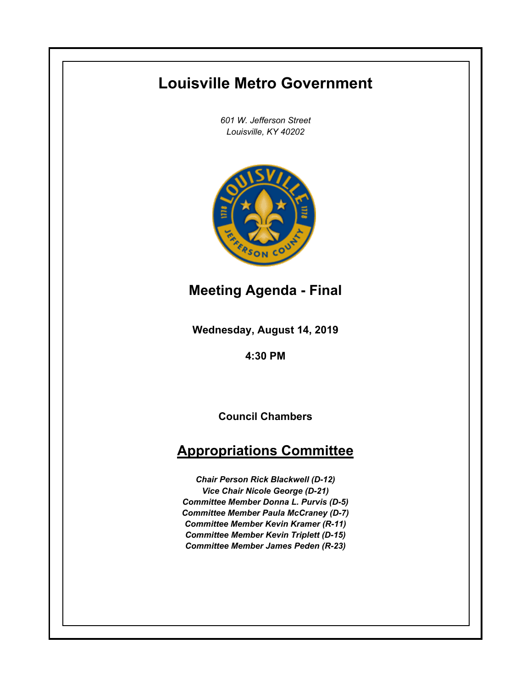# **Louisville Metro Government**

*601 W. Jefferson Street Louisville, KY 40202*



**Meeting Agenda - Final**

**Wednesday, August 14, 2019**

**4:30 PM**

**Council Chambers**

## **Appropriations Committee**

*Chair Person Rick Blackwell (D-12) Vice Chair Nicole George (D-21) Committee Member Donna L. Purvis (D-5) Committee Member Paula McCraney (D-7) Committee Member Kevin Kramer (R-11) Committee Member Kevin Triplett (D-15) Committee Member James Peden (R-23)*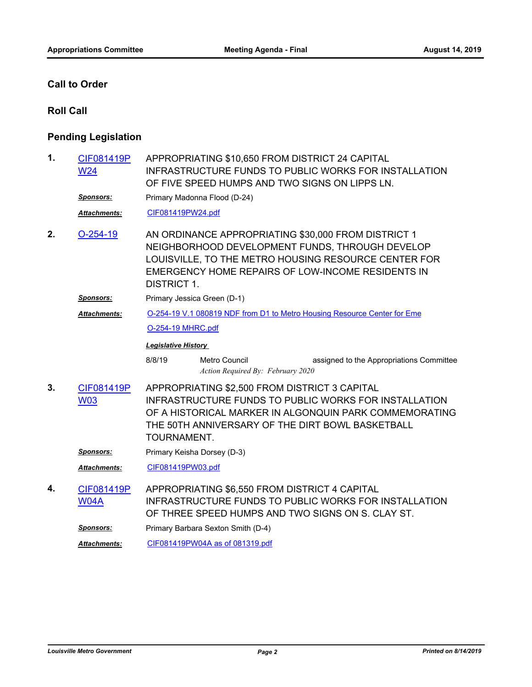#### **Call to Order**

#### **Roll Call**

### **Pending Legislation**

| 1. | CIF081419P<br><b>W24</b>  | APPROPRIATING \$10,650 FROM DISTRICT 24 CAPITAL<br><b>INFRASTRUCTURE FUNDS TO PUBLIC WORKS FOR INSTALLATION</b><br>OF FIVE SPEED HUMPS AND TWO SIGNS ON LIPPS LN.                                                                          |  |  |  |  |  |
|----|---------------------------|--------------------------------------------------------------------------------------------------------------------------------------------------------------------------------------------------------------------------------------------|--|--|--|--|--|
|    | <b>Sponsors:</b>          | Primary Madonna Flood (D-24)                                                                                                                                                                                                               |  |  |  |  |  |
|    | Attachments:              | CIF081419PW24.pdf                                                                                                                                                                                                                          |  |  |  |  |  |
| 2. | $O-254-19$                | AN ORDINANCE APPROPRIATING \$30,000 FROM DISTRICT 1<br>NEIGHBORHOOD DEVELOPMENT FUNDS, THROUGH DEVELOP<br>LOUISVILLE, TO THE METRO HOUSING RESOURCE CENTER FOR<br>EMERGENCY HOME REPAIRS OF LOW-INCOME RESIDENTS IN<br><b>DISTRICT 1.</b>  |  |  |  |  |  |
|    | <b>Sponsors:</b>          | Primary Jessica Green (D-1)                                                                                                                                                                                                                |  |  |  |  |  |
|    | <b>Attachments:</b>       | O-254-19 V.1 080819 NDF from D1 to Metro Housing Resource Center for Eme                                                                                                                                                                   |  |  |  |  |  |
|    |                           | O-254-19 MHRC.pdf                                                                                                                                                                                                                          |  |  |  |  |  |
|    |                           | <b>Legislative History</b>                                                                                                                                                                                                                 |  |  |  |  |  |
|    |                           | 8/8/19<br>assigned to the Appropriations Committee<br>Metro Council<br>Action Required By: February 2020                                                                                                                                   |  |  |  |  |  |
| 3. | CIF081419P<br><b>W03</b>  | APPROPRIATING \$2,500 FROM DISTRICT 3 CAPITAL<br><b>INFRASTRUCTURE FUNDS TO PUBLIC WORKS FOR INSTALLATION</b><br>OF A HISTORICAL MARKER IN ALGONQUIN PARK COMMEMORATING<br>THE 50TH ANNIVERSARY OF THE DIRT BOWL BASKETBALL<br>TOURNAMENT. |  |  |  |  |  |
|    | <b>Sponsors:</b>          | Primary Keisha Dorsey (D-3)                                                                                                                                                                                                                |  |  |  |  |  |
|    | <b>Attachments:</b>       | CIF081419PW03.pdf                                                                                                                                                                                                                          |  |  |  |  |  |
| 4. | CIF081419P<br><b>W04A</b> | APPROPRIATING \$6,550 FROM DISTRICT 4 CAPITAL<br><b>INFRASTRUCTURE FUNDS TO PUBLIC WORKS FOR INSTALLATION</b><br>OF THREE SPEED HUMPS AND TWO SIGNS ON S. CLAY ST.                                                                         |  |  |  |  |  |
|    | <u>Sponsors:</u>          | Primary Barbara Sexton Smith (D-4)                                                                                                                                                                                                         |  |  |  |  |  |
|    | <b>Attachments:</b>       | CIF081419PW04A as of 081319.pdf                                                                                                                                                                                                            |  |  |  |  |  |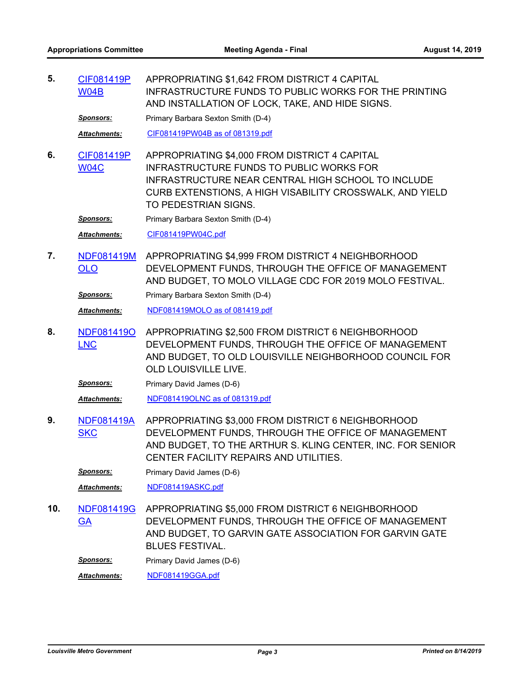APPROPRIATING \$1,642 FROM DISTRICT 4 CAPITAL INFRASTRUCTURE FUNDS TO PUBLIC WORKS FOR THE PRINTING AND INSTALLATION OF LOCK, TAKE, AND HIDE SIGNS. [CIF081419P](http://louisville.legistar.com/gateway.aspx?m=l&id=/matter.aspx?key=50901) W04B **5.**

**Sponsors:** Primary Barbara Sexton Smith (D-4)

*Attachments:* [CIF081419PW04B as of 081319.pdf](http://louisville.legistar.com/gateway.aspx?M=F&ID=df142fcb-f7c3-4945-a894-a056c939e185.pdf)

APPROPRIATING \$4,000 FROM DISTRICT 4 CAPITAL INFRASTRUCTURE FUNDS TO PUBLIC WORKS FOR INFRASTRUCTURE NEAR CENTRAL HIGH SCHOOL TO INCLUDE CURB EXTENSTIONS, A HIGH VISABILITY CROSSWALK, AND YIELD TO PEDESTRIAN SIGNS. [CIF081419P](http://louisville.legistar.com/gateway.aspx?m=l&id=/matter.aspx?key=50736) W04C **6.**

**Sponsors:** Primary Barbara Sexton Smith (D-4)

*Attachments:* [CIF081419PW04C.pdf](http://louisville.legistar.com/gateway.aspx?M=F&ID=a39b33a7-43ae-4a53-a4b6-cf4ea000329c.pdf)

APPROPRIATING \$4,999 FROM DISTRICT 4 NEIGHBORHOOD DEVELOPMENT FUNDS, THROUGH THE OFFICE OF MANAGEMENT AND BUDGET, TO MOLO VILLAGE CDC FOR 2019 MOLO FESTIVAL. [NDF081419M](http://louisville.legistar.com/gateway.aspx?m=l&id=/matter.aspx?key=50737) OLO **7.**

**Sponsors:** Primary Barbara Sexton Smith (D-4)

*Attachments:* [NDF081419MOLO as of 081419.pdf](http://louisville.legistar.com/gateway.aspx?M=F&ID=a28b93eb-4479-4cbd-8fe7-fe70e93502d0.pdf)

APPROPRIATING \$2,500 FROM DISTRICT 6 NEIGHBORHOOD DEVELOPMENT FUNDS, THROUGH THE OFFICE OF MANAGEMENT AND BUDGET, TO OLD LOUISVILLE NEIGHBORHOOD COUNCIL FOR OLD LOUISVILLE LIVE. [NDF081419O](http://louisville.legistar.com/gateway.aspx?m=l&id=/matter.aspx?key=50724) LNC **8.**

**Sponsors:** Primary David James (D-6)

*Attachments:* [NDF081419OLNC as of 081319.pdf](http://louisville.legistar.com/gateway.aspx?M=F&ID=74706e2a-a89b-4649-a7ac-d388c86d994b.pdf)

APPROPRIATING \$3,000 FROM DISTRICT 6 NEIGHBORHOOD DEVELOPMENT FUNDS, THROUGH THE OFFICE OF MANAGEMENT AND BUDGET, TO THE ARTHUR S. KLING CENTER, INC. FOR SENIOR CENTER FACILITY REPAIRS AND UTILITIES. [NDF081419A](http://louisville.legistar.com/gateway.aspx?m=l&id=/matter.aspx?key=50816) **SKC 9.**

**Sponsors:** Primary David James (D-6)

*Attachments:* [NDF081419ASKC.pdf](http://louisville.legistar.com/gateway.aspx?M=F&ID=e1778906-2a15-44a2-89af-8d96fed3ca7c.pdf)

APPROPRIATING \$5,000 FROM DISTRICT 6 NEIGHBORHOOD DEVELOPMENT FUNDS, THROUGH THE OFFICE OF MANAGEMENT AND BUDGET, TO GARVIN GATE ASSOCIATION FOR GARVIN GATE BLUES FESTIVAL. [NDF081419G](http://louisville.legistar.com/gateway.aspx?m=l&id=/matter.aspx?key=50818) **GA 10.**

**Sponsors:** Primary David James (D-6)

*Attachments:* [NDF081419GGA.pdf](http://louisville.legistar.com/gateway.aspx?M=F&ID=805804ad-201a-4284-81a0-0787a5049cff.pdf)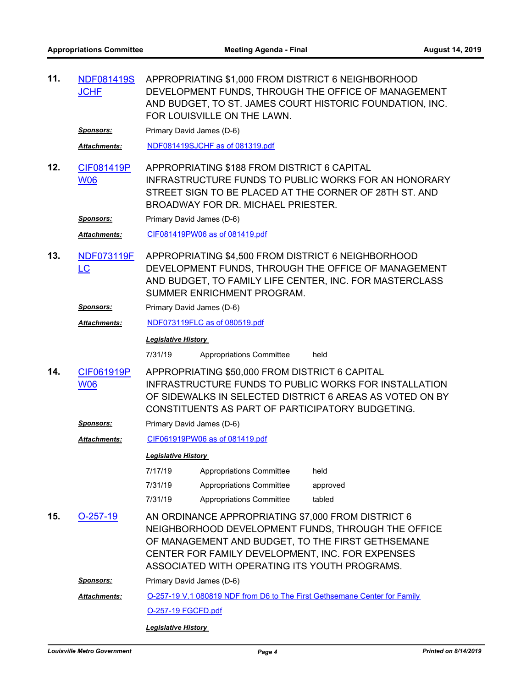| 11. | <b>NDF081419S</b><br><b>JCHF</b> | APPROPRIATING \$1,000 FROM DISTRICT 6 NEIGHBORHOOD<br>DEVELOPMENT FUNDS, THROUGH THE OFFICE OF MANAGEMENT<br>AND BUDGET, TO ST. JAMES COURT HISTORIC FOUNDATION, INC.<br>FOR LOUISVILLE ON THE LAWN.                                                               |  |  |  |  |
|-----|----------------------------------|--------------------------------------------------------------------------------------------------------------------------------------------------------------------------------------------------------------------------------------------------------------------|--|--|--|--|
|     | <u>Sponsors:</u>                 | Primary David James (D-6)                                                                                                                                                                                                                                          |  |  |  |  |
|     | Attachments:                     | NDF081419SJCHF as of 081319.pdf                                                                                                                                                                                                                                    |  |  |  |  |
| 12. | CIF081419P<br><b>W06</b>         | APPROPRIATING \$188 FROM DISTRICT 6 CAPITAL<br>INFRASTRUCTURE FUNDS TO PUBLIC WORKS FOR AN HONORARY<br>STREET SIGN TO BE PLACED AT THE CORNER OF 28TH ST. AND<br>BROADWAY FOR DR. MICHAEL PRIESTER.                                                                |  |  |  |  |
|     | <b>Sponsors:</b>                 | Primary David James (D-6)                                                                                                                                                                                                                                          |  |  |  |  |
|     | Attachments:                     | CIF081419PW06 as of 081419.pdf                                                                                                                                                                                                                                     |  |  |  |  |
| 13. | <b>NDF073119F</b><br><u>LC</u>   | APPROPRIATING \$4,500 FROM DISTRICT 6 NEIGHBORHOOD<br>DEVELOPMENT FUNDS, THROUGH THE OFFICE OF MANAGEMENT<br>AND BUDGET, TO FAMILY LIFE CENTER, INC. FOR MASTERCLASS<br>SUMMER ENRICHMENT PROGRAM.                                                                 |  |  |  |  |
|     | <b>Sponsors:</b>                 | Primary David James (D-6)                                                                                                                                                                                                                                          |  |  |  |  |
|     | Attachments:                     | NDF073119FLC as of 080519.pdf                                                                                                                                                                                                                                      |  |  |  |  |
|     |                                  | <b>Legislative History</b>                                                                                                                                                                                                                                         |  |  |  |  |
|     |                                  | 7/31/19<br>Appropriations Committee<br>held                                                                                                                                                                                                                        |  |  |  |  |
| 14. | CIF061919P<br><b>W06</b>         | APPROPRIATING \$50,000 FROM DISTRICT 6 CAPITAL<br><b>INFRASTRUCTURE FUNDS TO PUBLIC WORKS FOR INSTALLATION</b><br>OF SIDEWALKS IN SELECTED DISTRICT 6 AREAS AS VOTED ON BY<br>CONSTITUENTS AS PART OF PARTICIPATORY BUDGETING.                                     |  |  |  |  |
|     | <u>Sponsors:</u>                 | Primary David James (D-6)                                                                                                                                                                                                                                          |  |  |  |  |
|     | <b>Attachments:</b>              | CIF061919PW06 as of 081419.pdf                                                                                                                                                                                                                                     |  |  |  |  |
|     |                                  | <b>Legislative History</b>                                                                                                                                                                                                                                         |  |  |  |  |
|     |                                  | 7/17/19<br><b>Appropriations Committee</b><br>held                                                                                                                                                                                                                 |  |  |  |  |
|     |                                  | 7/31/19<br><b>Appropriations Committee</b><br>approved                                                                                                                                                                                                             |  |  |  |  |
|     |                                  | 7/31/19<br><b>Appropriations Committee</b><br>tabled                                                                                                                                                                                                               |  |  |  |  |
| 15. | $O-257-19$                       | AN ORDINANCE APPROPRIATING \$7,000 FROM DISTRICT 6<br>NEIGHBORHOOD DEVELOPMENT FUNDS, THROUGH THE OFFICE<br>OF MANAGEMENT AND BUDGET, TO THE FIRST GETHSEMANE<br>CENTER FOR FAMILY DEVELOPMENT, INC. FOR EXPENSES<br>ASSOCIATED WITH OPERATING ITS YOUTH PROGRAMS. |  |  |  |  |
|     | <u>Sponsors:</u>                 | Primary David James (D-6)                                                                                                                                                                                                                                          |  |  |  |  |
|     | <b>Attachments:</b>              | O-257-19 V.1 080819 NDF from D6 to The First Gethsemane Center for Family                                                                                                                                                                                          |  |  |  |  |
|     |                                  | O-257-19 FGCFD.pdf                                                                                                                                                                                                                                                 |  |  |  |  |
|     | <b>Legislative History</b>       |                                                                                                                                                                                                                                                                    |  |  |  |  |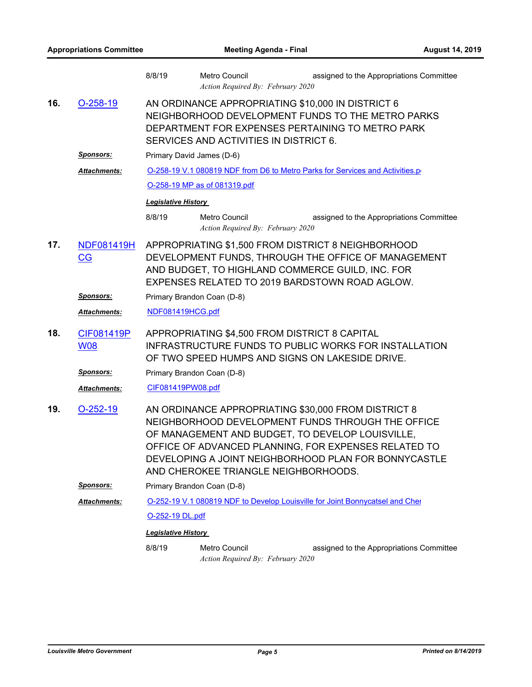|     |                          | 8/8/19                                                                                                                                                                                                                                                                                                               | <b>Metro Council</b><br>Action Required By: February 2020 | assigned to the Appropriations Committee |  |  |
|-----|--------------------------|----------------------------------------------------------------------------------------------------------------------------------------------------------------------------------------------------------------------------------------------------------------------------------------------------------------------|-----------------------------------------------------------|------------------------------------------|--|--|
| 16. | $O-258-19$               | AN ORDINANCE APPROPRIATING \$10,000 IN DISTRICT 6<br>NEIGHBORHOOD DEVELOPMENT FUNDS TO THE METRO PARKS<br>DEPARTMENT FOR EXPENSES PERTAINING TO METRO PARK<br>SERVICES AND ACTIVITIES IN DISTRICT 6.                                                                                                                 |                                                           |                                          |  |  |
|     | <u>Sponsors:</u>         | Primary David James (D-6)                                                                                                                                                                                                                                                                                            |                                                           |                                          |  |  |
|     | <b>Attachments:</b>      | O-258-19 V.1 080819 NDF from D6 to Metro Parks for Services and Activities.p                                                                                                                                                                                                                                         |                                                           |                                          |  |  |
|     |                          | O-258-19 MP as of 081319.pdf                                                                                                                                                                                                                                                                                         |                                                           |                                          |  |  |
|     |                          | <b>Legislative History</b>                                                                                                                                                                                                                                                                                           |                                                           |                                          |  |  |
|     |                          | 8/8/19                                                                                                                                                                                                                                                                                                               | Metro Council<br>Action Required By: February 2020        | assigned to the Appropriations Committee |  |  |
| 17. | <b>NDF081419H</b><br>CG  | APPROPRIATING \$1,500 FROM DISTRICT 8 NEIGHBORHOOD<br>DEVELOPMENT FUNDS, THROUGH THE OFFICE OF MANAGEMENT<br>AND BUDGET, TO HIGHLAND COMMERCE GUILD, INC. FOR<br>EXPENSES RELATED TO 2019 BARDSTOWN ROAD AGLOW.                                                                                                      |                                                           |                                          |  |  |
|     | <b>Sponsors:</b>         |                                                                                                                                                                                                                                                                                                                      | Primary Brandon Coan (D-8)                                |                                          |  |  |
|     | Attachments:             | NDF081419HCG.pdf                                                                                                                                                                                                                                                                                                     |                                                           |                                          |  |  |
| 18. | CIF081419P<br><b>W08</b> | APPROPRIATING \$4,500 FROM DISTRICT 8 CAPITAL<br><b>INFRASTRUCTURE FUNDS TO PUBLIC WORKS FOR INSTALLATION</b><br>OF TWO SPEED HUMPS AND SIGNS ON LAKESIDE DRIVE.                                                                                                                                                     |                                                           |                                          |  |  |
|     | <b>Sponsors:</b>         | Primary Brandon Coan (D-8)                                                                                                                                                                                                                                                                                           |                                                           |                                          |  |  |
|     | <b>Attachments:</b>      | CIF081419PW08.pdf                                                                                                                                                                                                                                                                                                    |                                                           |                                          |  |  |
| 19. | $O-252-19$               | AN ORDINANCE APPROPRIATING \$30,000 FROM DISTRICT 8<br>NEIGHBORHOOD DEVELOPMENT FUNDS THROUGH THE OFFICE<br>OF MANAGEMENT AND BUDGET, TO DEVELOP LOUISVILLE,<br>OFFICE OF ADVANCED PLANNING, FOR EXPENSES RELATED TO<br>DEVELOPING A JOINT NEIGHBORHOOD PLAN FOR BONNYCASTLE<br>AND CHEROKEE TRIANGLE NEIGHBORHOODS. |                                                           |                                          |  |  |
|     | <u>Sponsors:</u>         | Primary Brandon Coan (D-8)                                                                                                                                                                                                                                                                                           |                                                           |                                          |  |  |
|     | Attachments:             | O-252-19 V.1 080819 NDF to Develop Louisville for Joint Bonnycatsel and Cher<br>O-252-19 DL.pdf<br><b>Legislative History</b>                                                                                                                                                                                        |                                                           |                                          |  |  |
|     |                          |                                                                                                                                                                                                                                                                                                                      |                                                           |                                          |  |  |
|     |                          |                                                                                                                                                                                                                                                                                                                      |                                                           |                                          |  |  |
|     |                          | 8/8/19                                                                                                                                                                                                                                                                                                               | Metro Council<br>Action Required By: February 2020        | assigned to the Appropriations Committee |  |  |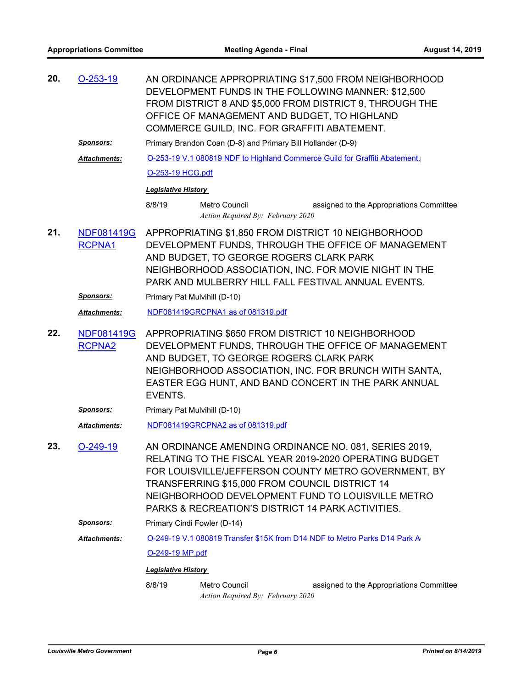| 20. | $O-253-19$                         |                                                                                                                                                                                                                                                                                                                                     | AN ORDINANCE APPROPRIATING \$17,500 FROM NEIGHBORHOOD<br>DEVELOPMENT FUNDS IN THE FOLLOWING MANNER: \$12,500<br>FROM DISTRICT 8 AND \$5,000 FROM DISTRICT 9, THROUGH THE<br>OFFICE OF MANAGEMENT AND BUDGET, TO HIGHLAND<br>COMMERCE GUILD, INC. FOR GRAFFITI ABATEMENT. |  |  |  |
|-----|------------------------------------|-------------------------------------------------------------------------------------------------------------------------------------------------------------------------------------------------------------------------------------------------------------------------------------------------------------------------------------|--------------------------------------------------------------------------------------------------------------------------------------------------------------------------------------------------------------------------------------------------------------------------|--|--|--|
|     | <u>Sponsors:</u>                   |                                                                                                                                                                                                                                                                                                                                     | Primary Brandon Coan (D-8) and Primary Bill Hollander (D-9)                                                                                                                                                                                                              |  |  |  |
|     | <b>Attachments:</b>                | O-253-19 V.1 080819 NDF to Highland Commerce Guild for Graffiti Abatement.                                                                                                                                                                                                                                                          |                                                                                                                                                                                                                                                                          |  |  |  |
|     |                                    | O-253-19 HCG.pdf                                                                                                                                                                                                                                                                                                                    |                                                                                                                                                                                                                                                                          |  |  |  |
|     |                                    | <b>Legislative History</b>                                                                                                                                                                                                                                                                                                          |                                                                                                                                                                                                                                                                          |  |  |  |
|     |                                    | 8/8/19                                                                                                                                                                                                                                                                                                                              | <b>Metro Council</b><br>assigned to the Appropriations Committee<br>Action Required By: February 2020                                                                                                                                                                    |  |  |  |
| 21. | <b>NDF081419G</b><br>RCPNA1        | APPROPRIATING \$1,850 FROM DISTRICT 10 NEIGHBORHOOD<br>DEVELOPMENT FUNDS, THROUGH THE OFFICE OF MANAGEMENT<br>AND BUDGET, TO GEORGE ROGERS CLARK PARK<br>NEIGHBORHOOD ASSOCIATION, INC. FOR MOVIE NIGHT IN THE<br>PARK AND MULBERRY HILL FALL FESTIVAL ANNUAL EVENTS.                                                               |                                                                                                                                                                                                                                                                          |  |  |  |
|     | <b>Sponsors:</b>                   | Primary Pat Mulvihill (D-10)                                                                                                                                                                                                                                                                                                        |                                                                                                                                                                                                                                                                          |  |  |  |
|     | Attachments:                       |                                                                                                                                                                                                                                                                                                                                     | NDF081419GRCPNA1 as of 081319.pdf                                                                                                                                                                                                                                        |  |  |  |
| 22. | <b>NDF081419G</b><br><b>RCPNA2</b> | APPROPRIATING \$650 FROM DISTRICT 10 NEIGHBORHOOD<br>DEVELOPMENT FUNDS, THROUGH THE OFFICE OF MANAGEMENT<br>AND BUDGET, TO GEORGE ROGERS CLARK PARK<br>NEIGHBORHOOD ASSOCIATION, INC. FOR BRUNCH WITH SANTA,<br>EASTER EGG HUNT, AND BAND CONCERT IN THE PARK ANNUAL<br>EVENTS.                                                     |                                                                                                                                                                                                                                                                          |  |  |  |
|     | <b>Sponsors:</b>                   | Primary Pat Mulvihill (D-10)                                                                                                                                                                                                                                                                                                        |                                                                                                                                                                                                                                                                          |  |  |  |
|     | Attachments:                       | NDF081419GRCPNA2 as of 081319.pdf                                                                                                                                                                                                                                                                                                   |                                                                                                                                                                                                                                                                          |  |  |  |
| 23. | $O-249-19$                         | AN ORDINANCE AMENDING ORDINANCE NO. 081, SERIES 2019,<br>RELATING TO THE FISCAL YEAR 2019-2020 OPERATING BUDGET<br>FOR LOUISVILLE/JEFFERSON COUNTY METRO GOVERNMENT, BY<br>TRANSFERRING \$15,000 FROM COUNCIL DISTRICT 14<br>NEIGHBORHOOD DEVELOPMENT FUND TO LOUISVILLE METRO<br>PARKS & RECREATION'S DISTRICT 14 PARK ACTIVITIES. |                                                                                                                                                                                                                                                                          |  |  |  |
|     | <u>Sponsors:</u>                   | Primary Cindi Fowler (D-14)                                                                                                                                                                                                                                                                                                         |                                                                                                                                                                                                                                                                          |  |  |  |
|     | Attachments:                       | O-249-19 V.1 080819 Transfer \$15K from D14 NDF to Metro Parks D14 Park A                                                                                                                                                                                                                                                           |                                                                                                                                                                                                                                                                          |  |  |  |
|     |                                    | O-249-19 MP.pdf                                                                                                                                                                                                                                                                                                                     |                                                                                                                                                                                                                                                                          |  |  |  |
|     |                                    | <b>Legislative History</b>                                                                                                                                                                                                                                                                                                          |                                                                                                                                                                                                                                                                          |  |  |  |
|     |                                    | 8/8/19                                                                                                                                                                                                                                                                                                                              | Metro Council<br>assigned to the Appropriations Committee<br>Action Required By: February 2020                                                                                                                                                                           |  |  |  |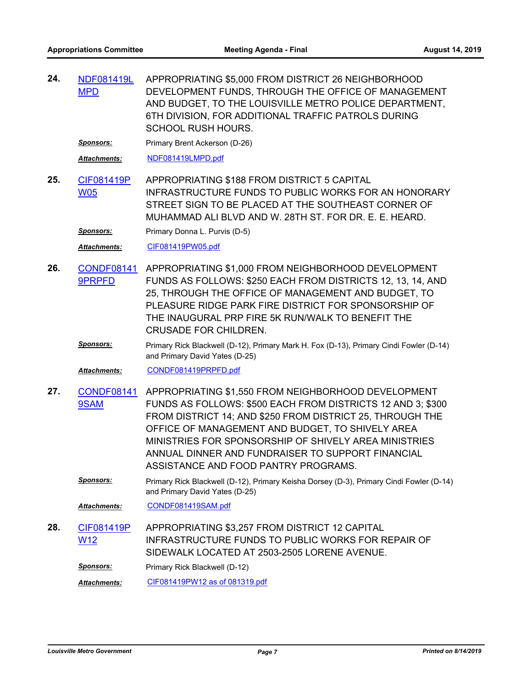APPROPRIATING \$5,000 FROM DISTRICT 26 NEIGHBORHOOD DEVELOPMENT FUNDS, THROUGH THE OFFICE OF MANAGEMENT AND BUDGET, TO THE LOUISVILLE METRO POLICE DEPARTMENT, 6TH DIVISION, FOR ADDITIONAL TRAFFIC PATROLS DURING SCHOOL RUSH HOURS. [NDF081419L](http://louisville.legistar.com/gateway.aspx?m=l&id=/matter.aspx?key=50932) MPD **24.**

**Sponsors:** Primary Brent Ackerson (D-26)

*Attachments:* [NDF081419LMPD.pdf](http://louisville.legistar.com/gateway.aspx?M=F&ID=eaa76d59-5e6a-4771-9e56-65812b47bded.pdf)

APPROPRIATING \$188 FROM DISTRICT 5 CAPITAL INFRASTRUCTURE FUNDS TO PUBLIC WORKS FOR AN HONORARY STREET SIGN TO BE PLACED AT THE SOUTHEAST CORNER OF MUHAMMAD ALI BLVD AND W. 28TH ST. FOR DR. E. E. HEARD. [CIF081419P](http://louisville.legistar.com/gateway.aspx?m=l&id=/matter.aspx?key=50856) W05 **25.**

**Sponsors:** Primary Donna L. Purvis (D-5)

*Attachments:* [CIF081419PW05.pdf](http://louisville.legistar.com/gateway.aspx?M=F&ID=7cf7bfe2-bfd5-48ad-b096-c64623811811.pdf)

- APPROPRIATING \$1,000 FROM NEIGHBORHOOD DEVELOPMENT FUNDS AS FOLLOWS: \$250 EACH FROM DISTRICTS 12, 13, 14, AND 25, THROUGH THE OFFICE OF MANAGEMENT AND BUDGET, TO PLEASURE RIDGE PARK FIRE DISTRICT FOR SPONSORSHIP OF THE INAUGURAL PRP FIRE 5K RUN/WALK TO BENEFIT THE CRUSADE FOR CHILDREN. [CONDF08141](http://louisville.legistar.com/gateway.aspx?m=l&id=/matter.aspx?key=50878) 9PRPFD **26.**
	- *Sponsors:* Primary Rick Blackwell (D-12), Primary Mark H. Fox (D-13), Primary Cindi Fowler (D-14) and Primary David Yates (D-25)

*Attachments:* [CONDF081419PRPFD.pdf](http://louisville.legistar.com/gateway.aspx?M=F&ID=c3828c97-585e-45b2-9071-f01135f28ec2.pdf)

[CONDF08141](http://louisville.legistar.com/gateway.aspx?m=l&id=/matter.aspx?key=50879) APPROPRIATING \$1,550 FROM NEIGHBORHOOD DEVELOPMENT FUNDS AS FOLLOWS: \$500 EACH FROM DISTRICTS 12 AND 3; \$300 FROM DISTRICT 14; AND \$250 FROM DISTRICT 25, THROUGH THE OFFICE OF MANAGEMENT AND BUDGET, TO SHIVELY AREA MINISTRIES FOR SPONSORSHIP OF SHIVELY AREA MINISTRIES ANNUAL DINNER AND FUNDRAISER TO SUPPORT FINANCIAL ASSISTANCE AND FOOD PANTRY PROGRAMS. 9SAM **27.**

*Sponsors:* Primary Rick Blackwell (D-12), Primary Keisha Dorsey (D-3), Primary Cindi Fowler (D-14) and Primary David Yates (D-25)

*Attachments:* [CONDF081419SAM.pdf](http://louisville.legistar.com/gateway.aspx?M=F&ID=f6705afc-e34b-4ee8-978c-5d814e8ba8cd.pdf)

APPROPRIATING \$3,257 FROM DISTRICT 12 CAPITAL INFRASTRUCTURE FUNDS TO PUBLIC WORKS FOR REPAIR OF SIDEWALK LOCATED AT 2503-2505 LORENE AVENUE. [CIF081419P](http://louisville.legistar.com/gateway.aspx?m=l&id=/matter.aspx?key=50796) W12 **28.**

**Sponsors:** Primary Rick Blackwell (D-12)

*Attachments:* [CIF081419PW12 as of 081319.pdf](http://louisville.legistar.com/gateway.aspx?M=F&ID=f7c66fb7-1e46-4dc6-b5f3-6388e4f8d759.pdf)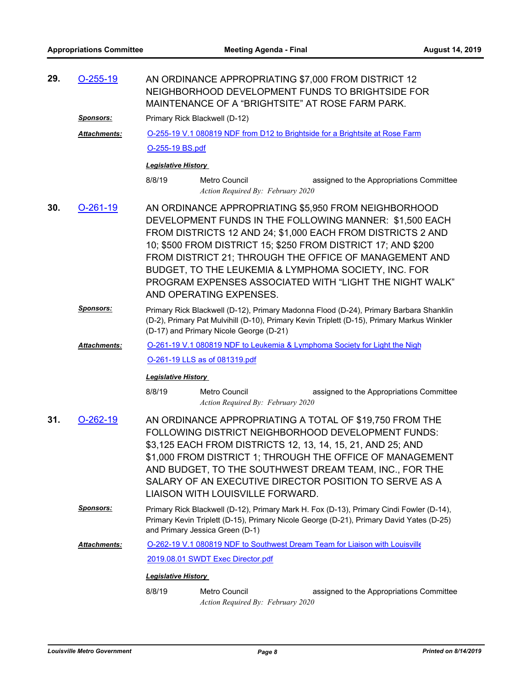| 29. | $O-255-19$<br>AN ORDINANCE APPROPRIATING \$7,000 FROM DISTRICT 12<br>NEIGHBORHOOD DEVELOPMENT FUNDS TO BRIGHTSIDE FOR<br>MAINTENANCE OF A "BRIGHTSITE" AT ROSE FARM PARK. |                                                                                                                                                                                                                                                                                                                                                                                                                                                         |                                                    |                                                                              |  |  |
|-----|---------------------------------------------------------------------------------------------------------------------------------------------------------------------------|---------------------------------------------------------------------------------------------------------------------------------------------------------------------------------------------------------------------------------------------------------------------------------------------------------------------------------------------------------------------------------------------------------------------------------------------------------|----------------------------------------------------|------------------------------------------------------------------------------|--|--|
|     | <u>Sponsors:</u>                                                                                                                                                          | Primary Rick Blackwell (D-12)                                                                                                                                                                                                                                                                                                                                                                                                                           |                                                    |                                                                              |  |  |
|     | <b>Attachments:</b>                                                                                                                                                       |                                                                                                                                                                                                                                                                                                                                                                                                                                                         |                                                    | O-255-19 V.1 080819 NDF from D12 to Brightside for a Brightsite at Rose Farm |  |  |
|     |                                                                                                                                                                           | O-255-19 BS.pdf                                                                                                                                                                                                                                                                                                                                                                                                                                         |                                                    |                                                                              |  |  |
|     |                                                                                                                                                                           | <b>Legislative History</b>                                                                                                                                                                                                                                                                                                                                                                                                                              |                                                    |                                                                              |  |  |
|     |                                                                                                                                                                           | 8/8/19                                                                                                                                                                                                                                                                                                                                                                                                                                                  | Metro Council<br>Action Required By: February 2020 | assigned to the Appropriations Committee                                     |  |  |
| 30. | $O-261-19$                                                                                                                                                                | AN ORDINANCE APPROPRIATING \$5,950 FROM NEIGHBORHOOD<br>DEVELOPMENT FUNDS IN THE FOLLOWING MANNER: \$1,500 EACH<br>FROM DISTRICTS 12 AND 24; \$1,000 EACH FROM DISTRICTS 2 AND<br>10; \$500 FROM DISTRICT 15; \$250 FROM DISTRICT 17; AND \$200<br>FROM DISTRICT 21; THROUGH THE OFFICE OF MANAGEMENT AND<br>BUDGET, TO THE LEUKEMIA & LYMPHOMA SOCIETY, INC. FOR<br>PROGRAM EXPENSES ASSOCIATED WITH "LIGHT THE NIGHT WALK"<br>AND OPERATING EXPENSES. |                                                    |                                                                              |  |  |
|     | Sponsors:                                                                                                                                                                 | Primary Rick Blackwell (D-12), Primary Madonna Flood (D-24), Primary Barbara Shanklin<br>(D-2), Primary Pat Mulvihill (D-10), Primary Kevin Triplett (D-15), Primary Markus Winkler<br>(D-17) and Primary Nicole George (D-21)                                                                                                                                                                                                                          |                                                    |                                                                              |  |  |
|     | <b>Attachments:</b>                                                                                                                                                       | O-261-19 V.1 080819 NDF to Leukemia & Lymphoma Society for Light the Nigh                                                                                                                                                                                                                                                                                                                                                                               |                                                    |                                                                              |  |  |
|     |                                                                                                                                                                           | O-261-19 LLS as of 081319.pdf                                                                                                                                                                                                                                                                                                                                                                                                                           |                                                    |                                                                              |  |  |
|     |                                                                                                                                                                           | <b>Legislative History</b>                                                                                                                                                                                                                                                                                                                                                                                                                              |                                                    |                                                                              |  |  |
|     |                                                                                                                                                                           | 8/8/19                                                                                                                                                                                                                                                                                                                                                                                                                                                  | Metro Council<br>Action Required By: February 2020 | assigned to the Appropriations Committee                                     |  |  |
| 31. | $O-262-19$                                                                                                                                                                | AN ORDINANCE APPROPRIATING A TOTAL OF \$19,750 FROM THE<br>FOLLOWING DISTRICT NEIGHBORHOOD DEVELOPMENT FUNDS:<br>\$3,125 EACH FROM DISTRICTS 12, 13, 14, 15, 21, AND 25; AND<br>\$1,000 FROM DISTRICT 1; THROUGH THE OFFICE OF MANAGEMENT<br>AND BUDGET, TO THE SOUTHWEST DREAM TEAM, INC., FOR THE<br>SALARY OF AN EXECUTIVE DIRECTOR POSITION TO SERVE AS A<br>LIAISON WITH LOUISVILLE FORWARD.                                                       |                                                    |                                                                              |  |  |
|     | <b>Sponsors:</b>                                                                                                                                                          | Primary Rick Blackwell (D-12), Primary Mark H. Fox (D-13), Primary Cindi Fowler (D-14),<br>Primary Kevin Triplett (D-15), Primary Nicole George (D-21), Primary David Yates (D-25)<br>and Primary Jessica Green (D-1)                                                                                                                                                                                                                                   |                                                    |                                                                              |  |  |
|     | <b>Attachments:</b>                                                                                                                                                       | O-262-19 V.1 080819 NDF to Southwest Dream Team for Liaison with Louisville                                                                                                                                                                                                                                                                                                                                                                             |                                                    |                                                                              |  |  |
|     |                                                                                                                                                                           | 2019.08.01 SWDT Exec Director.pdf                                                                                                                                                                                                                                                                                                                                                                                                                       |                                                    |                                                                              |  |  |
|     |                                                                                                                                                                           | <b>Legislative History</b>                                                                                                                                                                                                                                                                                                                                                                                                                              |                                                    |                                                                              |  |  |
|     |                                                                                                                                                                           | 8/8/19                                                                                                                                                                                                                                                                                                                                                                                                                                                  | Metro Council<br>Action Required By: February 2020 | assigned to the Appropriations Committee                                     |  |  |